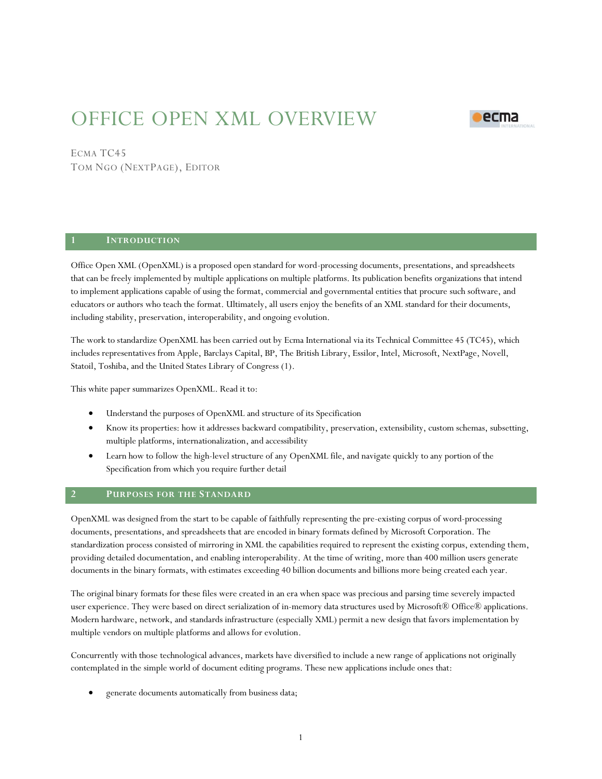# OFFICE OPEN XML OVERVIEW



# ECMA TC45

TOM NGO (NEXTPAGE), EDITOR

## **1 INTRODUCTION**

Office Open XML (OpenXML) is a proposed open standard for word-processing documents, presentations, and spreadsheets that can be freely implemented by multiple applications on multiple platforms. Its publication benefits organizations that intend to implement applications capable of using the format, commercial and governmental entities that procure such software, and educators or authors who teach the format. Ultimately, all users enjoy the benefits of an XML standard for their documents, including stability, preservation, interoperability, and ongoing evolution.

The work to standardize OpenXML has been carried out by Ecma International via its Technical Committee 45 (TC45), which includes representatives from Apple, Barclays Capital, BP, The British Library, Essilor, Intel, Microsoft, NextPage, Novell, Statoil, Toshiba, and the United States Library of Congress (1).

This white paper summarizes OpenXML. Read it to:

- Understand the purposes of OpenXML and structure of its Specification
- Know its properties: how it addresses backward compatibility, preservation, extensibility, custom schemas, subsetting, multiple platforms, internationalization, and accessibility
- Learn how to follow the high-level structure of any OpenXML file, and navigate quickly to any portion of the Specification from which you require further detail

#### **2 PURPOSES FOR THE STANDARD**

OpenXML was designed from the start to be capable of faithfully representing the pre-existing corpus of word-processing documents, presentations, and spreadsheets that are encoded in binary formats defined by Microsoft Corporation. The standardization process consisted of mirroring in XML the capabilities required to represent the existing corpus, extending them, providing detailed documentation, and enabling interoperability. At the time of writing, more than 400 million users generate documents in the binary formats, with estimates exceeding 40 billion documents and billions more being created each year.

The original binary formats for these files were created in an era when space was precious and parsing time severely impacted user experience. They were based on direct serialization of in-memory data structures used by Microsoft® Office® applications. Modern hardware, network, and standards infrastructure (especially XML) permit a new design that favors implementation by multiple vendors on multiple platforms and allows for evolution.

Concurrently with those technological advances, markets have diversified to include a new range of applications not originally contemplated in the simple world of document editing programs. These new applications include ones that:

generate documents automatically from business data;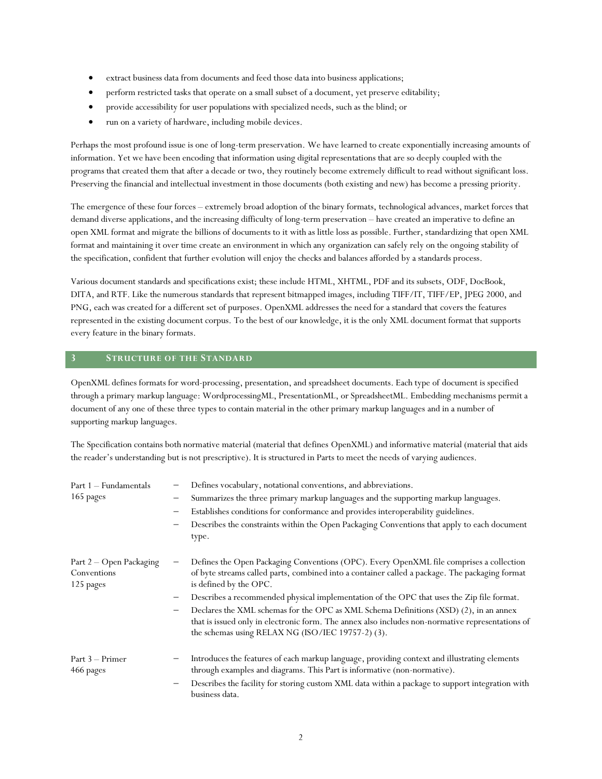- extract business data from documents and feed those data into business applications;
- perform restricted tasks that operate on a small subset of a document, yet preserve editability;
- provide accessibility for user populations with specialized needs, such as the blind; or
- run on a variety of hardware, including mobile devices.

Perhaps the most profound issue is one of long-term preservation. We have learned to create exponentially increasing amounts of information. Yet we have been encoding that information using digital representations that are so deeply coupled with the programs that created them that after a decade or two, they routinely become extremely difficult to read without significant loss. Preserving the financial and intellectual investment in those documents (both existing and new) has become a pressing priority.

The emergence of these four forces – extremely broad adoption of the binary formats, technological advances, market forces that demand diverse applications, and the increasing difficulty of long-term preservation –have created an imperative to define an open XML format and migrate the billions of documents to it with as little loss as possible. Further, standardizing that open XML format and maintaining it over time create an environment in which any organization can safely rely on the ongoing stability of the specification, confident that further evolution will enjoy the checks and balances afforded by a standards process.

Various document standards and specifications exist; these include HTML, XHTML, PDF and its subsets, ODF, DocBook, DITA, and RTF. Like the numerous standards that represent bitmapped images, including TIFF/IT, TIFF/EP, JPEG 2000, and PNG, each was created for a different set of purposes. OpenXML addresses the need for a standard that covers the features represented in the existing document corpus. To the best of our knowledge, it is the only XML document format that supports every feature in the binary formats.

# **3 STRUCTURE OF THE STANDARD**

OpenXML defines formats for word-processing, presentation, and spreadsheet documents. Each type of document is specified through a primary markup language: WordprocessingML, PresentationML, or SpreadsheetML. Embedding mechanisms permit a document of any one of these three types to contain material in the other primary markup languages and in a number of supporting markup languages.

The Specification contains both normative material (material that defines OpenXML) and informative material (material that aids the reader's understanding but is not prescriptive). It is structured in Parts to meet the needs of varying audiences.

| Defines vocabulary, notational conventions, and abbreviations.<br>Part 1 - Fundamentals |                                                                                                                                                                                                                                                                     |  |  |  |  |  |
|-----------------------------------------------------------------------------------------|---------------------------------------------------------------------------------------------------------------------------------------------------------------------------------------------------------------------------------------------------------------------|--|--|--|--|--|
| 165 pages                                                                               | Summarizes the three primary markup languages and the supporting markup languages.                                                                                                                                                                                  |  |  |  |  |  |
|                                                                                         | Establishes conditions for conformance and provides interoperability guidelines.<br>$\qquad \qquad -$                                                                                                                                                               |  |  |  |  |  |
|                                                                                         | Describes the constraints within the Open Packaging Conventions that apply to each document<br>type.                                                                                                                                                                |  |  |  |  |  |
| Part 2 - Open Packaging<br>Conventions<br>125 pages                                     | Defines the Open Packaging Conventions (OPC). Every OpenXML file comprises a collection<br>of byte streams called parts, combined into a container called a package. The packaging format<br>is defined by the OPC.                                                 |  |  |  |  |  |
|                                                                                         | Describes a recommended physical implementation of the OPC that uses the Zip file format.<br>—                                                                                                                                                                      |  |  |  |  |  |
|                                                                                         | Declares the XML schemas for the OPC as XML Schema Definitions (XSD) (2), in an annex<br>$\qquad \qquad -$<br>that is issued only in electronic form. The annex also includes non-normative representations of<br>the schemas using RELAX NG (ISO/IEC 19757-2) (3). |  |  |  |  |  |
| Part 3 – Primer<br>466 pages                                                            | Introduces the features of each markup language, providing context and illustrating elements<br>through examples and diagrams. This Part is informative (non-normative).                                                                                            |  |  |  |  |  |
|                                                                                         | Describes the facility for storing custom XML data within a package to support integration with<br>business data.                                                                                                                                                   |  |  |  |  |  |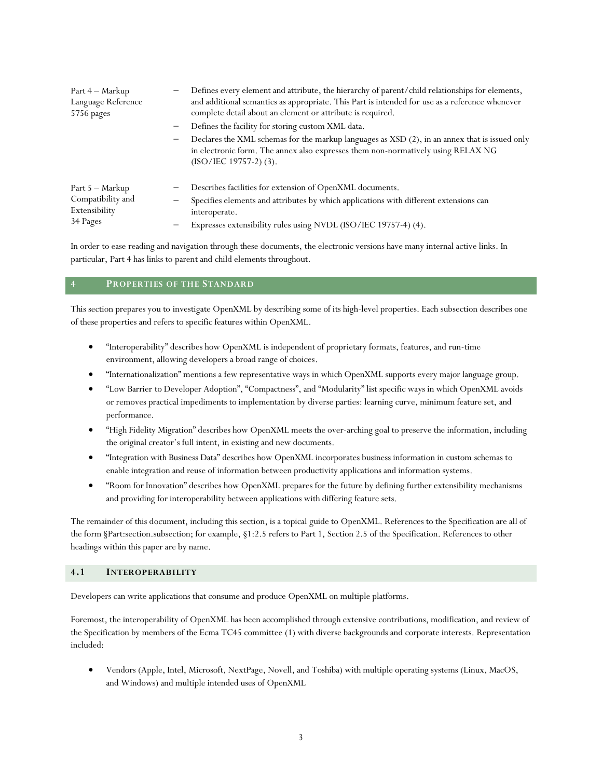| Part 4 – Markup<br>Language Reference<br>5756 pages               | Defines every element and attribute, the hierarchy of parent/child relationships for elements,<br>and additional semantics as appropriate. This Part is intended for use as a reference whenever<br>complete detail about an element or attribute is required. |
|-------------------------------------------------------------------|----------------------------------------------------------------------------------------------------------------------------------------------------------------------------------------------------------------------------------------------------------------|
|                                                                   | Defines the facility for storing custom XML data.<br>-                                                                                                                                                                                                         |
|                                                                   | Declares the XML schemas for the markup languages as XSD (2), in an annex that is issued only<br>-<br>in electronic form. The annex also expresses them non-normatively using RELAX NG<br>$(ISO/IEC 19757-2)$ (3).                                             |
| Part 5 - Markup<br>Compatibility and<br>Extensibility<br>34 Pages | Describes facilities for extension of OpenXML documents.                                                                                                                                                                                                       |
|                                                                   | Specifies elements and attributes by which applications with different extensions can                                                                                                                                                                          |
|                                                                   | interoperate.                                                                                                                                                                                                                                                  |
|                                                                   | Expresses extensibility rules using NVDL (ISO/IEC 19757-4) (4).                                                                                                                                                                                                |

In order to ease reading and navigation through these documents, the electronic versions have many internal active links. In particular, Part 4 has links to parent and child elements throughout.

#### **4 PROPERTIES OF THE STANDARD**

This section prepares you to investigate OpenXML by describing some of its high-level properties. Each subsection describes one of these properties and refers to specific features within OpenXML.

- "Interoperability" describes how OpenXML is independent of proprietary formats, features, and run-time environment, allowing developers a broad range of choices.
- "Internationalization" mentions a few representative ways in which OpenXML supports every major language group.
- "Low Barrier to Developer Adoption", "Compactness",and "Modularity" list specific ways in which OpenXML avoids or removes practical impediments to implementation by diverse parties: learning curve, minimum feature set, and performance.
- "High Fidelity Migration" describes how OpenXML meets the over-arching goal to preserve the information, including the original creator's full intent, in existing and new documents.
- "Integration with Business Data" describes how OpenXML incorporates business information in custom schemas to enable integration and reuse of information between productivity applications and information systems.
- "Room for Innovation" describes how OpenXML prepares for the future by defining further extensibility mechanisms and providing for interoperability between applications with differing feature sets.

The remainder of this document, including this section, is a topical guide to OpenXML. References to the Specification are all of the form §Part:section.subsection; for example, §1:2.5 refers to Part 1, Section 2.5 of the Specification. References to other headings within this paper are by name.

# **4.1 INTEROPERABILITY**

Developers can write applications that consume and produce OpenXML on multiple platforms.

Foremost, the interoperability of OpenXML has been accomplished through extensive contributions, modification, and review of the Specification by members of the Ecma TC45 committee (1) with diverse backgrounds and corporate interests. Representation included:

 Vendors (Apple, Intel, Microsoft, NextPage, Novell, and Toshiba) with multiple operating systems (Linux, MacOS, and Windows) and multiple intended uses of OpenXML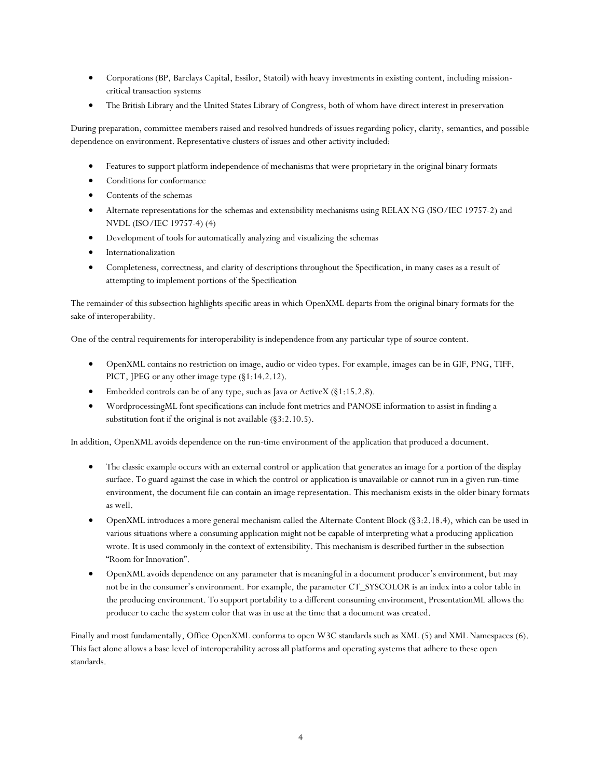- Corporations (BP, Barclays Capital, Essilor, Statoil) with heavy investments in existing content, including missioncritical transaction systems
- The British Library and the United States Library of Congress, both of whom have direct interest in preservation

During preparation, committee members raised and resolved hundreds of issues regarding policy, clarity, semantics, and possible dependence on environment. Representative clusters of issues and other activity included:

- Features to support platform independence of mechanisms that were proprietary in the original binary formats
- Conditions for conformance
- Contents of the schemas
- Alternate representations for the schemas and extensibility mechanisms using RELAX NG (ISO/IEC 19757-2) and NVDL (ISO/IEC 19757-4) (4)
- Development of tools for automatically analyzing and visualizing the schemas
- Internationalization
- Completeness, correctness, and clarity of descriptions throughout the Specification, in many cases as a result of attempting to implement portions of the Specification

The remainder of this subsection highlights specific areas in which OpenXML departs from the original binary formats for the sake of interoperability.

One of the central requirements for interoperability is independence from any particular type of source content.

- OpenXML contains no restriction on image, audio or video types. For example, images can be in GIF, PNG, TIFF, PICT, JPEG or any other image type (§1:14.2.12).
- Embedded controls can be of any type, such as Java or ActiveX (§1:15.2.8).
- WordprocessingML font specifications can include font metrics and PANOSE information to assist in finding a substitution font if the original is not available (§3:2.10.5).

In addition, OpenXML avoids dependence on the run-time environment of the application that produced a document.

- The classic example occurs with an external control or application that generates an image for a portion of the display surface. To guard against the case in which the control or application is unavailable or cannot run in a given run-time environment, the document file can contain an image representation. This mechanism exists in the older binary formats as well.
- OpenXML introduces a more general mechanism called the Alternate Content Block (§3:2.18.4), which can be used in various situations where a consuming application might not be capable of interpreting what a producing application wrote. It is used commonly in the context of extensibility. This mechanism is described further in the subsection "Room for Innovation".
- OpenXML avoids dependence on any parameter that is meaningful in a document producer's environment, but may not be in the consumer's environment. For example, the parameter CT\_SYSCOLOR is an index into a color table in the producing environment. To support portability to a different consuming environment, PresentationML allows the producer to cache the system color that was in use at the time that a document was created.

Finally and most fundamentally, Office OpenXML conforms to open W3C standards such as XML (5) and XML Namespaces (6). This fact alone allows a base level of interoperability across all platforms and operating systems that adhere to these open standards.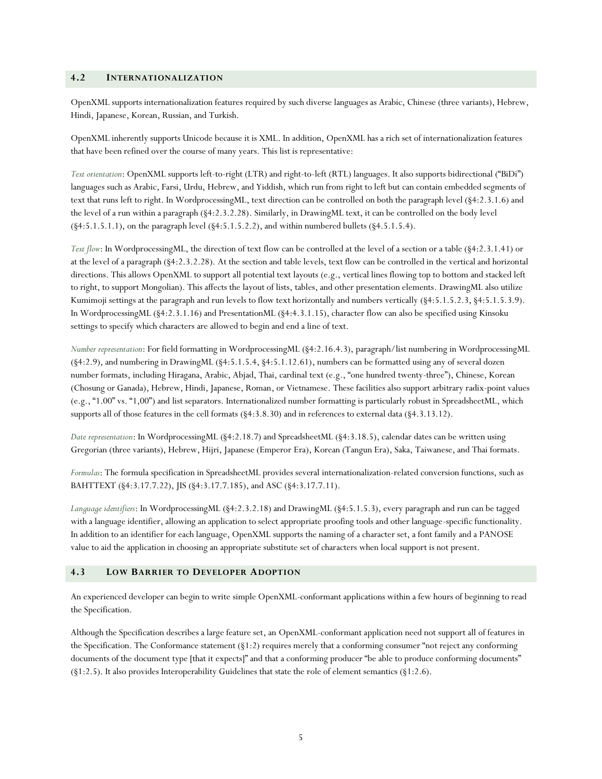#### **4.2 INTERNATIONALIZATION**

OpenXML supports internationalization features required by such diverse languages as Arabic, Chinese (three variants), Hebrew, Hindi, Japanese, Korean, Russian, and Turkish.

OpenXML inherently supports Unicode because it is XML. In addition, OpenXML has a rich set of internationalization features that have been refined over the course of many years. This list is representative:

*Text orientation*: OpenXML supports left-to-right (LTR) and right-to-left (RTL) languages. It also supports bidirectional ("BiDi") languages such as Arabic, Farsi, Urdu, Hebrew, and Yiddish, which run from right to left but can contain embedded segments of text that runs left to right. In WordprocessingML, text direction can be controlled on both the paragraph level (§4:2.3.1.6) and the level of a run within a paragraph (§4:2.3.2.28). Similarly, in DrawingML text, it can be controlled on the body level  $(\S4:5.1.5.1.1)$ , on the paragraph level  $(\S4:5.1.5.2.2)$ , and within numbered bullets  $(\S4.5.1.5.4)$ .

*Text flow*: In WordprocessingML, the direction of text flow can be controlled at the level of a section or a table (§4:2.3.1.41) or at the level of a paragraph (§4:2.3.2.28). At the section and table levels, text flow can be controlled in the vertical and horizontal directions. This allows OpenXML to support all potential text layouts (e.g., vertical lines flowing top to bottom and stacked left to right, to support Mongolian). This affects the layout of lists, tables, and other presentation elements. DrawingML also utilize Kumimoji settings at the paragraph and run levels to flow text horizontally and numbers vertically (§4:5.1.5.2.3, §4:5.1.5.3.9). In WordprocessingML (§4:2.3.1.16) and PresentationML (§4:4.3.1.15), character flow can also be specified using Kinsoku settings to specify which characters are allowed to begin and end a line of text.

*Number representation*: For field formatting in WordprocessingML (§4:2.16.4.3), paragraph/list numbering in WordprocessingML (§4:2.9), and numbering in DrawingML (§4:5.1.5.4, §4:5.1.12.61), numbers can be formatted using any of several dozen number formats, including Hiragana, Arabic, Abjad, Thai, cardinal text (e.g., "one hundred twenty-three"), Chinese, Korean (Chosung or Ganada), Hebrew, Hindi, Japanese, Roman, or Vietnamese. These facilities also support arbitrary radix-point values (e.g., "1.00" vs. "1,00") and list separators. Internationalized number formatting is particularly robust in SpreadsheetML, which supports all of those features in the cell formats (§4:3.8.30) and in references to external data (§4.3.13.12).

*Date representation*: In WordprocessingML (§4:2.18.7) and SpreadsheetML (§4:3.18.5), calendar dates can be written using Gregorian (three variants), Hebrew, Hijri, Japanese (Emperor Era), Korean (Tangun Era), Saka, Taiwanese, and Thai formats.

*Formulas*: The formula specification in SpreadsheetML provides several internationalization-related conversion functions, such as BAHTTEXT (§4:3.17.7.22), JIS (§4:3.17.7.185), and ASC (§4:3.17.7.11).

*Language identifiers*: In WordprocessingML (§4:2.3.2.18) and DrawingML (§4:5.1.5.3), every paragraph and run can be tagged with a language identifier, allowing an application to select appropriate proofing tools and other language-specific functionality. In addition to an identifier for each language, OpenXML supports the naming of a character set, a font family and a PANOSE value to aid the application in choosing an appropriate substitute set of characters when local support is not present.

#### **4.3 LOW BARRIER TO DEVELOPER ADOPTION**

An experienced developer can begin to write simple OpenXML-conformant applications within a few hours of beginning to read the Specification.

Although the Specification describes a large feature set, an OpenXML-conformant application need not support all of features in the Specification. The Conformance statement (§1:2) requires merely that a conforming consumer "not reject any conforming documents of the document type [that it expects]" and that a conforming producer "be able to produce conforming documents" (§1:2.5). It also provides Interoperability Guidelines that state the role of element semantics (§1:2.6).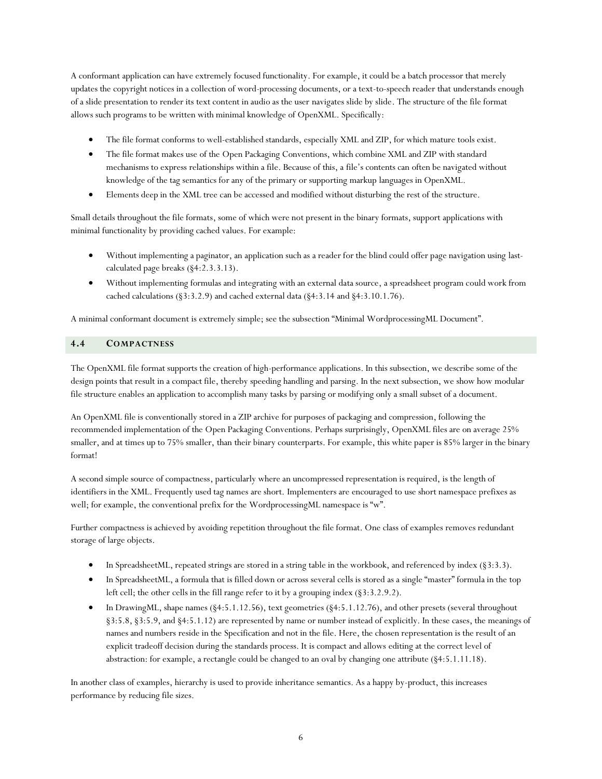A conformant application can have extremely focused functionality. For example, it could be a batch processor that merely updates the copyright notices in a collection of word-processing documents, or a text-to-speech reader that understands enough of a slide presentation to render its text content in audio as the user navigates slide by slide. The structure of the file format allows such programs to be written with minimal knowledge of OpenXML. Specifically:

- The file format conforms to well-established standards, especially XML and ZIP, for which mature tools exist.
- The file format makes use of the Open Packaging Conventions, which combine XML and ZIP with standard mechanisms to express relationships within a file. Because of this, a file's contents can often be navigated without knowledge of the tag semantics for any of the primary or supporting markup languages in OpenXML.
- Elements deep in the XML tree can be accessed and modified without disturbing the rest of the structure.

Small details throughout the file formats, some of which were not present in the binary formats, support applications with minimal functionality by providing cached values. For example:

- Without implementing a paginator, an application such as a reader for the blind could offer page navigation using lastcalculated page breaks (§4:2.3.3.13).
- Without implementing formulas and integrating with an external data source, a spreadsheet program could work from cached calculations (§3:3.2.9) and cached external data (§4:3.14 and §4:3.10.1.76).

A minimal conformant document is extremely simple; see the subsection "Minimal WordprocessingML Document".

# **4.4 COMPACTNESS**

The OpenXML file format supports the creation of high-performance applications. In this subsection, we describe some of the design points that result in a compact file, thereby speeding handling and parsing. In the next subsection, we show how modular file structure enables an application to accomplish many tasks by parsing or modifying only a small subset of a document.

An OpenXML file is conventionally stored in a ZIP archive for purposes of packaging and compression, following the recommended implementation of the Open Packaging Conventions. Perhaps surprisingly, OpenXML files are on average 25% smaller, and at times up to 75% smaller, than their binary counterparts. For example, this white paper is 85% larger in the binary format!

A second simple source of compactness, particularly where an uncompressed representation is required, is the length of identifiers in the XML. Frequently used tag names are short. Implementers are encouraged to use short namespace prefixes as well; for example, the conventional prefix for the WordprocessingML namespace is "w".

Further compactness is achieved by avoiding repetition throughout the file format. One class of examples removes redundant storage of large objects.

- In SpreadsheetML, repeated strings are stored in a string table in the workbook, and referenced by index (§3:3.3).
- In SpreadsheetML, a formula that is filled down or across several cells is stored as a single "master" formula in the top left cell; the other cells in the fill range refer to it by a grouping index (§3:3.2.9.2).
- In DrawingML, shape names (§4:5.1.12.56), text geometries (§4:5.1.12.76), and other presets (several throughout §3:5.8, §3:5.9, and §4:5.1.12) are represented by name or number instead of explicitly. In these cases, the meanings of names and numbers reside in the Specification and not in the file. Here, the chosen representation is the result of an explicit tradeoff decision during the standards process. It is compact and allows editing at the correct level of abstraction: for example, a rectangle could be changed to an oval by changing one attribute (§4:5.1.11.18).

In another class of examples, hierarchy is used to provide inheritance semantics. As a happy by-product, this increases performance by reducing file sizes.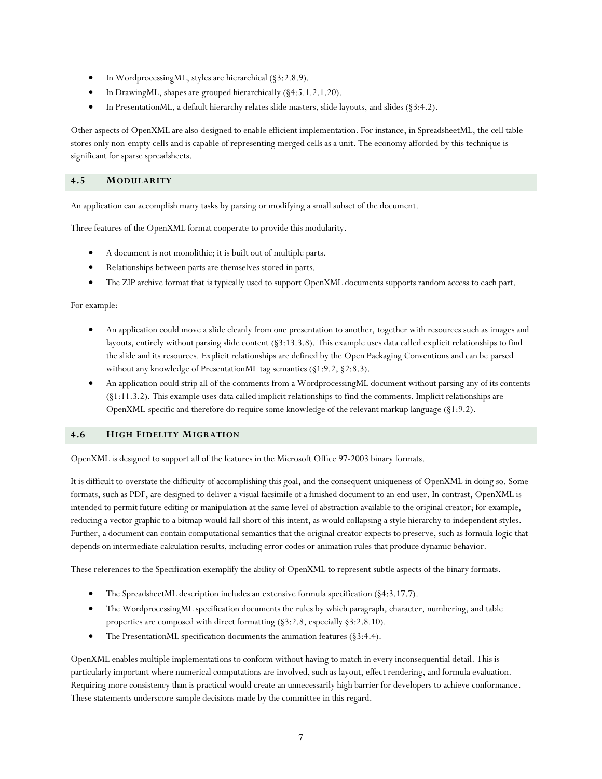- In WordprocessingML, styles are hierarchical (§3:2.8.9).
- In DrawingML, shapes are grouped hierarchically (§4:5.1.2.1.20).
- In PresentationML, a default hierarchy relates slide masters, slide layouts, and slides (§3:4.2).

Other aspects of OpenXML are also designed to enable efficient implementation. For instance, in SpreadsheetML, the cell table stores only non-empty cells and is capable of representing merged cells as a unit. The economy afforded by this technique is significant for sparse spreadsheets.

#### **4.5 MODULARITY**

An application can accomplish many tasks by parsing or modifying a small subset of the document.

Three features of the OpenXML format cooperate to provide this modularity.

- A document is not monolithic; it is built out of multiple parts.
- Relationships between parts are themselves stored in parts.
- The ZIP archive format that is typically used to support OpenXML documents supports random access to each part.

For example:

- An application could move a slide cleanly from one presentation to another, together with resources such as images and layouts, entirely without parsing slide content (§3:13.3.8). This example uses data called explicit relationships to find the slide and its resources. Explicit relationships are defined by the Open Packaging Conventions and can be parsed without any knowledge of PresentationML tag semantics (§1:9.2, §2:8.3).
- An application could strip all of the comments from a WordprocessingML document without parsing any of its contents (§1:11.3.2). This example uses data called implicit relationships to find the comments. Implicit relationships are OpenXML-specific and therefore do require some knowledge of the relevant markup language (§1:9.2).

#### **4.6 HIGH FIDELITY MIGRATION**

OpenXML is designed to support all of the features in the Microsoft Office 97-2003 binary formats.

It is difficult to overstate the difficulty of accomplishing this goal, and the consequent uniqueness of OpenXML in doing so. Some formats, such as PDF, are designed to deliver a visual facsimile of a finished document to an end user. In contrast, OpenXML is intended to permit future editing or manipulation at the same level of abstraction available to the original creator; for example, reducing a vector graphic to a bitmap would fall short of this intent, as would collapsing a style hierarchy to independent styles. Further, a document can contain computational semantics that the original creator expects to preserve, such as formula logic that depends on intermediate calculation results, including error codes or animation rules that produce dynamic behavior.

These references to the Specification exemplify the ability of OpenXML to represent subtle aspects of the binary formats.

- The SpreadsheetML description includes an extensive formula specification (§4:3.17.7).
- The WordprocessingML specification documents the rules by which paragraph, character, numbering, and table properties are composed with direct formatting (§3:2.8, especially §3:2.8.10).
- The PresentationML specification documents the animation features (§3:4.4).

OpenXML enables multiple implementations to conform without having to match in every inconsequential detail. This is particularly important where numerical computations are involved, such as layout, effect rendering, and formula evaluation. Requiring more consistency than is practical would create an unnecessarily high barrier for developers to achieve conformance. These statements underscore sample decisions made by the committee in this regard.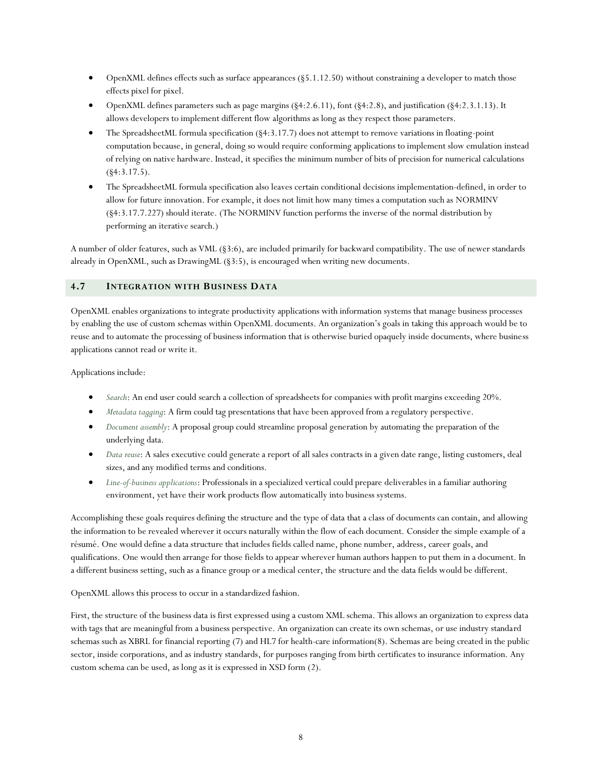- OpenXML defines effects such as surface appearances (§5.1.12.50) without constraining a developer to match those effects pixel for pixel.
- OpenXML defines parameters such as page margins (§4:2.6.11), font (§4:2.8), and justification (§4:2.3.1.13). It allows developers to implement different flow algorithms as long as they respect those parameters.
- The SpreadsheetML formula specification (§4:3.17.7) does not attempt to remove variations in floating-point computation because, in general, doing so would require conforming applications to implement slow emulation instead of relying on native hardware. Instead, it specifies the minimum number of bits of precision for numerical calculations  $(§4:3.17.5).$
- The SpreadsheetML formula specification also leaves certain conditional decisions implementation-defined, in order to allow for future innovation. For example, it does not limit how many times a computation such as NORMINV (§4:3.17.7.227) should iterate. (The NORMINV function performs the inverse of the normal distribution by performing an iterative search.)

A number of older features, such as VML (§3:6), are included primarily for backward compatibility. The use of newer standards already in OpenXML, such as DrawingML (§3:5), is encouraged when writing new documents.

#### **4.7 INTEGRATION WITH BUSINESS DATA**

OpenXML enables organizations to integrate productivity applications with information systems that manage business processes by enabling the use of custom schemas within OpenXML documents. An organization's goals in taking this approach would be to reuse and to automate the processing of business information that is otherwise buried opaquely inside documents, where business applications cannot read or write it.

Applications include:

- *Search*: An end user could search a collection of spreadsheets for companies with profit margins exceeding 20%.
- *Metadata tagging*: A firm could tag presentations that have been approved from a regulatory perspective.
- *Document assembly*: A proposal group could streamline proposal generation by automating the preparation of the underlying data.
- *Data reuse*: A sales executive could generate a report of all sales contracts in a given date range, listing customers, deal sizes, and any modified terms and conditions.
- *Line-of-business applications*: Professionals in a specialized vertical could prepare deliverables in a familiar authoring environment, yet have their work products flow automatically into business systems.

Accomplishing these goals requires defining the structure and the type of data that a class of documents can contain, and allowing the information to be revealed wherever it occurs naturally within the flow of each document. Consider the simple example of a résumé. One would define a data structure that includes fields called name, phone number, address, career goals, and qualifications. One would then arrange for those fields to appear wherever human authors happen to put them in a document. In a different business setting, such as a finance group or a medical center, the structure and the data fields would be different.

OpenXML allows this process to occur in a standardized fashion.

First, the structure of the business data is first expressed using a custom XML schema. This allows an organization to express data with tags that are meaningful from a business perspective. An organization can create its own schemas, or use industry standard schemas such as XBRL for financial reporting (7) and HL7 for health-care information(8). Schemas are being created in the public sector, inside corporations, and as industry standards, for purposes ranging from birth certificates to insurance information. Any custom schema can be used, as long as it is expressed in XSD form (2).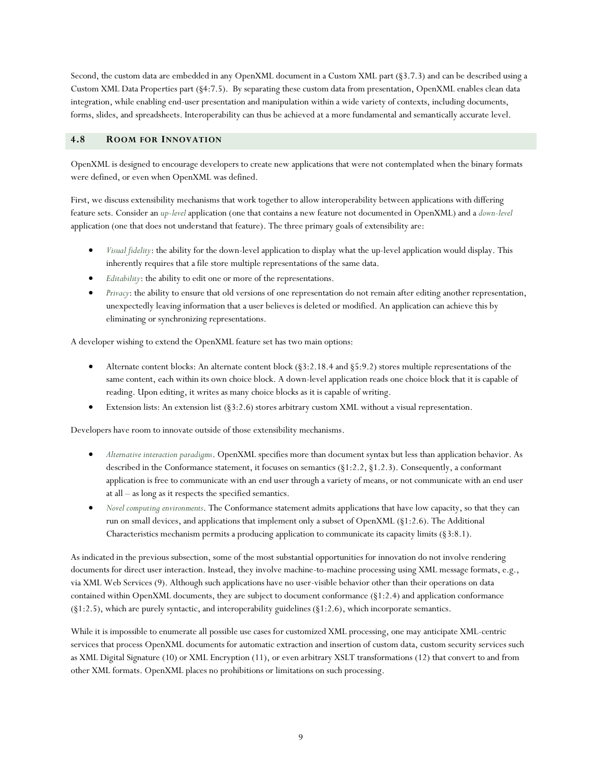Second, the custom data are embedded in any OpenXML document in a Custom XML part (§3.7.3) and can be described using a Custom XML Data Properties part (§4:7.5). By separating these custom data from presentation, OpenXML enables clean data integration, while enabling end-user presentation and manipulation within a wide variety of contexts, including documents, forms, slides, and spreadsheets. Interoperability can thus be achieved at a more fundamental and semantically accurate level.

# **4.8 ROOM FOR INNOVATION**

OpenXML is designed to encourage developers to create new applications that were not contemplated when the binary formats were defined, or even when OpenXML was defined.

First, we discuss extensibility mechanisms that work together to allow interoperability between applications with differing feature sets. Consider an *up-level* application (one that contains a new feature not documented in OpenXML) and a *down-level* application (one that does not understand that feature). The three primary goals of extensibility are:

- *Visual fidelity*: the ability for the down-level application to display what the up-level application would display. This inherently requires that a file store multiple representations of the same data.
- *Editability*: the ability to edit one or more of the representations.
- *Privacy*: the ability to ensure that old versions of one representation do not remain after editing another representation, unexpectedly leaving information that a user believes is deleted or modified. An application can achieve this by eliminating or synchronizing representations.

A developer wishing to extend the OpenXML feature set has two main options:

- Alternate content blocks: An alternate content block (§3:2.18.4 and §5:9.2) stores multiple representations of the same content, each within its own choice block. A down-level application reads one choice block that it is capable of reading. Upon editing, it writes as many choice blocks as it is capable of writing.
- Extension lists: An extension list (§3:2.6) stores arbitrary custom XML without a visual representation.

Developers have room to innovate outside of those extensibility mechanisms.

- *Alternative interaction paradigms*. OpenXML specifies more than document syntax but less than application behavior. As described in the Conformance statement, it focuses on semantics (§1:2.2, §1.2.3). Consequently, a conformant application is free to communicate with an end user through a variety of means, or not communicate with an end user at all –as long as it respects the specified semantics.
- *Novel computing environments*. The Conformance statement admits applications that have low capacity, so that they can run on small devices, and applications that implement only a subset of OpenXML (§1:2.6). The Additional Characteristics mechanism permits a producing application to communicate its capacity limits (§3:8.1).

As indicated in the previous subsection, some of the most substantial opportunities for innovation do not involve rendering documents for direct user interaction. Instead, they involve machine-to-machine processing using XML message formats, e.g., via XML Web Services (9). Although such applications have no user-visible behavior other than their operations on data contained within OpenXML documents, they are subject to document conformance (§1:2.4) and application conformance  $(\S1:2.5)$ , which are purely syntactic, and interoperability guidelines  $(\S1:2.6)$ , which incorporate semantics.

While it is impossible to enumerate all possible use cases for customized XML processing, one may anticipate XML-centric services that process OpenXML documents for automatic extraction and insertion of custom data, custom security services such as XML Digital Signature (10) or XML Encryption (11), or even arbitrary XSLT transformations (12) that convert to and from other XML formats. OpenXML places no prohibitions or limitations on such processing.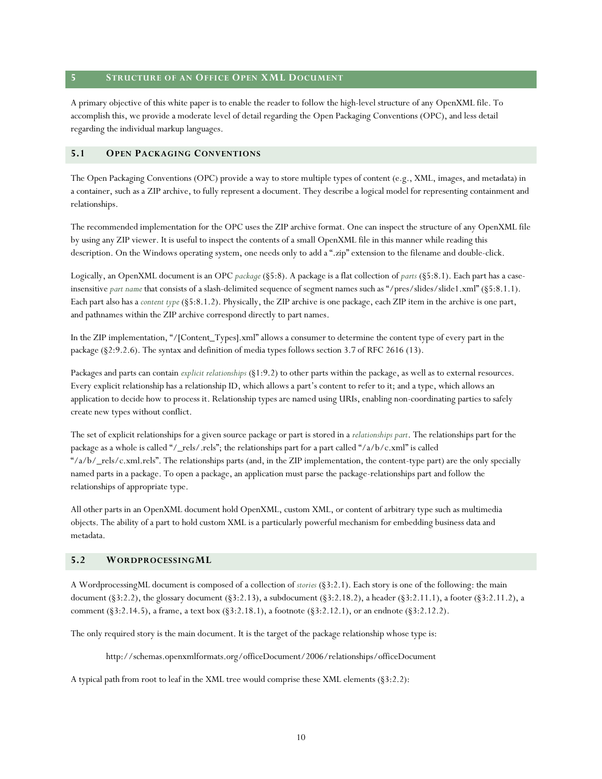#### **5 STRUCTURE OF AN OFFICE OPEN XML DOCUMENT**

A primary objective of this white paper is to enable the reader to follow the high-level structure of any OpenXML file. To accomplish this, we provide a moderate level of detail regarding the Open Packaging Conventions (OPC), and less detail regarding the individual markup languages.

#### **5.1 OPEN PACKAGING CONVENTIONS**

The Open Packaging Conventions (OPC) provide a way to store multiple types of content (e.g., XML, images, and metadata) in a container, such as a ZIP archive, to fully represent a document. They describe a logical model for representing containment and relationships.

The recommended implementation for the OPC uses the ZIP archive format. One can inspect the structure of any OpenXML file by using any ZIP viewer. It is useful to inspect the contents of a small OpenXML file in this manner while reading this description. On the Windows operating system, one needs only to add a ".zip" extension to the filename and double-click.

Logically, an OpenXML document is an OPC *package* (§5:8). A package is a flat collection of *parts* (§5:8.1). Each part has a caseinsensitive *part name* that consists of a slash-delimited sequence of segment names such as "/pres/slides/slide1.xml" (§5:8.1.1). Each part also has a *content type* (§5:8.1.2). Physically, the ZIP archive is one package, each ZIP item in the archive is one part, and pathnames within the ZIP archive correspond directly to part names.

In the ZIP implementation, "/[Content\_Types].xml" allows a consumer to determine the content type of every part in the package (§2:9.2.6). The syntax and definition of media types follows section 3.7 of RFC 2616 (13).

Packages and parts can contain *explicit relationships* (§1:9.2) to other parts within the package, as well as to external resources. Every explicit relationship has a relationship ID, which allows a part's content to refer to it; and a type, which allows an application to decide how to process it. Relationship types are named using URIs, enabling non-coordinating parties to safely create new types without conflict.

The set of explicit relationships for a given source package or part is stored in a *relationships part*. The relationships part for the package as a whole is called "/\_rels/.rels"; the relationships part for a part called "/a/b/c.xml" is called "/ $a/b$ /\_rels/c.xml.rels". The relationships parts (and, in the ZIP implementation, the content-type part) are the only specially named parts in a package. To open a package, an application must parse the package-relationships part and follow the relationships of appropriate type.

All other parts in an OpenXML document hold OpenXML, custom XML, or content of arbitrary type such as multimedia objects. The ability of a part to hold custom XML is a particularly powerful mechanism for embedding business data and metadata.

# **5.2 WORDPROCESSINGML**

A WordprocessingML document is composed of a collection of *stories* (§3:2.1). Each story is one of the following: the main document (§3:2.2), the glossary document (§3:2.13), a subdocument (§3:2.18.2), a header (§3:2.11.1), a footer (§3:2.11.2), a comment (§3:2.14.5), a frame, a text box (§3:2.18.1), a footnote (§3:2.12.1), or an endnote (§3:2.12.2).

The only required story is the main document. It is the target of the package relationship whose type is:

http://schemas.openxmlformats.org/officeDocument/2006/relationships/officeDocument

A typical path from root to leaf in the XML tree would comprise these XML elements (§3:2.2):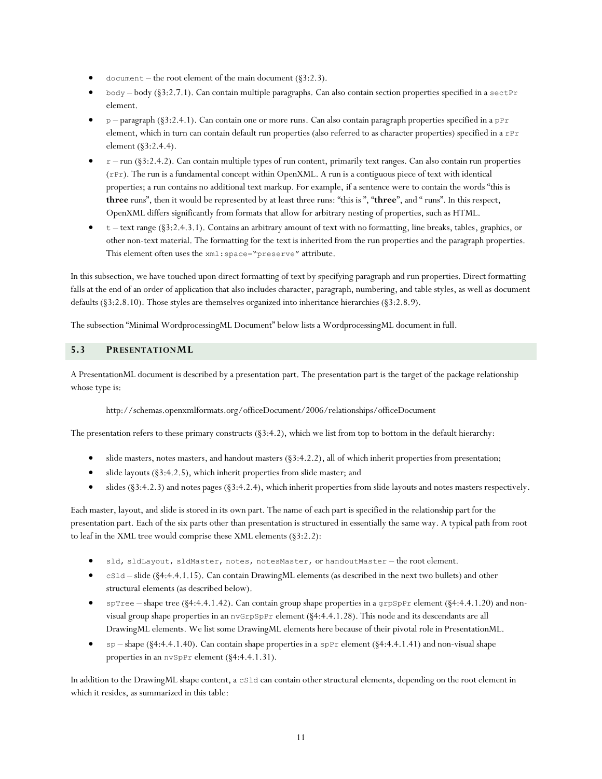- document the root element of the main document  $(\text{\$3:2.3}).$
- body body (§3:2.7.1). Can contain multiple paragraphs. Can also contain section properties specified in a sectPr element.
- p –paragraph (§3:2.4.1). Can contain one or more runs. Can also contain paragraph properties specified in a pPr element, which in turn can contain default run properties (also referred to as character properties) specified in a rPr element (§3:2.4.4).
- $r run$  (§3:2.4.2). Can contain multiple types of run content, primarily text ranges. Can also contain run properties  $(rPr)$ . The run is a fundamental concept within OpenXML. A run is a contiguous piece of text with identical properties; a run contains no additional text markup. For example, if a sentence were to contain the words "this is **three** runs", then it would be represented by at least three runs: "thisis ", "**three**", and " runs". In this respect, OpenXML differs significantly from formats that allow for arbitrary nesting of properties, such as HTML.
- $t -$ text range (§3:2.4.3.1). Contains an arbitrary amount of text with no formatting, line breaks, tables, graphics, or other non-text material. The formatting for the text is inherited from the run properties and the paragraph properties. This element often uses the xml:space="preserve" attribute.

In this subsection, we have touched upon direct formatting of text by specifying paragraph and run properties. Direct formatting falls at the end of an order of application that also includes character, paragraph, numbering, and table styles, as well as document defaults (§3:2.8.10). Those styles are themselves organized into inheritance hierarchies (§3:2.8.9).

The subsection "Minimal WordprocessingML Document"below lists a WordprocessingML document in full.

# **5.3 PRESENTATIONML**

A PresentationML document is described by a presentation part. The presentation part is the target of the package relationship whose type is:

http://schemas.openxmlformats.org/officeDocument/2006/relationships/officeDocument

The presentation refers to these primary constructs  $(\S3.4.2)$ , which we list from top to bottom in the default hierarchy:

- slide masters, notes masters, and handout masters (§3:4.2.2), all of which inherit properties from presentation;
- $\bullet$  slide layouts (§3:4.2.5), which inherit properties from slide master; and
- $\bullet$  slides (§3:4.2.3) and notes pages (§3:4.2.4), which inherit properties from slide layouts and notes masters respectively.

Each master, layout, and slide is stored in its own part. The name of each part is specified in the relationship part for the presentation part. Each of the six parts other than presentation is structured in essentially the same way. A typical path from root to leaf in the XML tree would comprise these XML elements (§3:2.2):

- sld, sldLayout, sldMaster, notes, notesMaster, or handoutMaster the root element.
- cSld –slide (§4:4.4.1.15). Can contain DrawingML elements (as described in the next two bullets) and other structural elements (as described below).
- $\bullet$  spTree shape tree (§4:4.4.1.42). Can contain group shape properties in a grpSpPr element (§4:4.4.1.20) and nonvisual group shape properties in an nvGrpSpPr element (§4:4.4.1.28). This node and its descendants are all DrawingML elements. We list some DrawingML elements here because of their pivotal role in PresentationML.
- sp –shape (§4:4.4.1.40). Can contain shape properties in a spPr element (§4:4.4.1.41) and non-visual shape properties in an nvSpPr element (§4:4.4.1.31).

In addition to the DrawingML shape content, a cSld can contain other structural elements, depending on the root element in which it resides, as summarized in this table: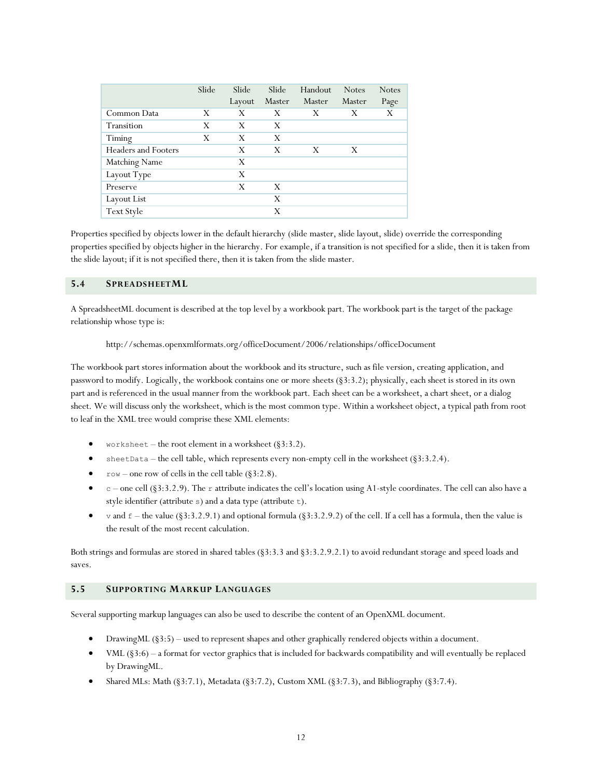|                            | Slide | Slide<br>Layout | Slide<br>Master | Handout<br>Master | <b>Notes</b><br>Master | <b>Notes</b><br>Page |
|----------------------------|-------|-----------------|-----------------|-------------------|------------------------|----------------------|
| Common Data                | X     | X               | X               | X                 | X                      | X                    |
| Transition                 | X     | X               | X               |                   |                        |                      |
| Timing                     | X     | X               | X               |                   |                        |                      |
| <b>Headers and Footers</b> |       | X               | X               | X                 | X                      |                      |
| <b>Matching Name</b>       |       | X               |                 |                   |                        |                      |
| Layout Type                |       | X               |                 |                   |                        |                      |
| Preserve                   |       | X               | X               |                   |                        |                      |
| Layout List                |       |                 | X               |                   |                        |                      |
| Text Style                 |       |                 | X               |                   |                        |                      |

Properties specified by objects lower in the default hierarchy (slide master, slide layout, slide) override the corresponding properties specified by objects higher in the hierarchy. For example, if a transition is not specified for a slide, then it is taken from the slide layout; if it is not specified there, then it is taken from the slide master.

#### **5.4 SPREADSHEETML**

A SpreadsheetML document is described at the top level by a workbook part. The workbook part is the target of the package relationship whose type is:

http://schemas.openxmlformats.org/officeDocument/2006/relationships/officeDocument

The workbook part stores information about the workbook and its structure, such as file version, creating application, and password to modify. Logically, the workbook contains one or more sheets (§3:3.2); physically, each sheet is stored in its own part and is referenced in the usual manner from the workbook part. Each sheet can be a worksheet, a chart sheet, or a dialog sheet. We will discuss only the worksheet, which is the most common type. Within a worksheet object, a typical path from root to leaf in the XML tree would comprise these XML elements:

- worksheet the root element in a worksheet  $(\S3:3.2)$ .
- sheetData the cell table, which represents every non-empty cell in the worksheet  $(\S3:3.2.4)$ .
- $row$  one row of cells in the cell table (§3:2.8).
- $c$  one cell (§3:3.2.9). The r attribute indicates the cell's location using A1-style coordinates. The cell can also have a style identifier (attribute s) and a data type (attribute t).
- v and  $f$  the value (§3:3.2.9.1) and optional formula (§3:3.2.9.2) of the cell. If a cell has a formula, then the value is the result of the most recent calculation.

Both strings and formulas are stored in shared tables (§3:3.3 and §3:3.2.9.2.1) to avoid redundant storage and speed loads and saves.

# **5.5 SUPPORTING MARKUP LANGUAGES**

Several supporting markup languages can also be used to describe the content of an OpenXML document.

- DrawingML (§3:5) used to represent shapes and other graphically rendered objects within a document.
- VML (§3:6) –a format for vector graphics that is included for backwards compatibility and will eventually be replaced by DrawingML.
- Shared MLs: Math (§3:7.1), Metadata (§3:7.2), Custom XML (§3:7.3), and Bibliography (§3:7.4).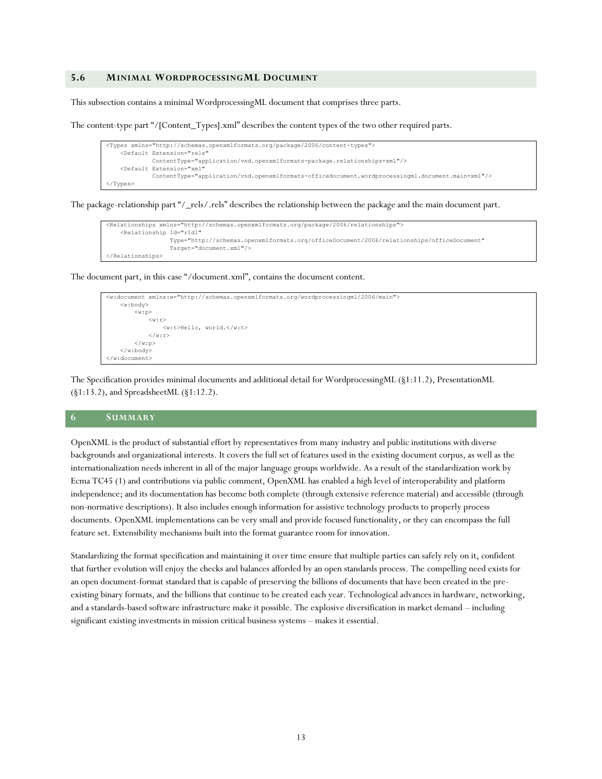#### **5.6 MINIMAL WORDPROCESSINGML DOCUMENT**

This subsection contains a minimal WordprocessingML document that comprises three parts.

The content-type part "/[Content\_Types].xml" describes the content types of the two other required parts.

```
<Types xmlns="http://schemas.openxmlformats.org/package/2006/content-types">
     <Default Extension="rels"
              ContentType="application/vnd.openxmlformats-package.relationships+xml"/>
     <Default Extension="xml"
              ContentType="application/vnd.openxmlformats-officedocument.wordprocessingml.document.main+xml"/>
</Types>
```
The package-relationship part "/\_rels/.rels" describes the relationship between the package and the main document part.

```
<Relationships xmlns="http://schemas.openxmlformats.org/package/2006/relationships">
     <Relationship Id="rId1"
                   Type="http://schemas.openxmlformats.org/officeDocument/2006/relationships/officeDocument"
                   Target="document.xml"/>
</Relationships>
```
The document part, in this case "/document.xml", contains the document content.

```
<w:document xmlns:w="http://schemas.openxmlformats.org/wordprocessingml/2006/main">
     <w:body>
          <w:p>
              \langle w : r \rangle <w:t>Hello, world.</w:t>
              \langle/w:r>
         \langle/w:p>
      </w:body>
</w:document>
```
The Specification provides minimal documents and additional detail for WordprocessingML (§1:11.2), PresentationML (§1:13.2), and SpreadsheetML (§1:12.2).

#### **6 SUMMARY**

OpenXML is the product of substantial effort by representatives from many industry and public institutions with diverse backgrounds and organizational interests. It covers the full set of features used in the existing document corpus, as well as the internationalization needs inherent in all of the major language groups worldwide. As a result of the standardization work by Ecma TC45 (1) and contributions via public comment, OpenXML has enabled a high level of interoperability and platform independence; and its documentation has become both complete (through extensive reference material) and accessible (through non-normative descriptions). It also includes enough information for assistive technology products to properly process documents. OpenXML implementations can be very small and provide focused functionality, or they can encompass the full feature set. Extensibility mechanisms built into the format guarantee room for innovation.

Standardizing the format specification and maintaining it over time ensure that multiple parties can safely rely on it, confident that further evolution will enjoy the checks and balances afforded by an open standards process. The compelling need exists for an open document-format standard that is capable of preserving the billions of documents that have been created in the preexisting binary formats, and the billions that continue to be created each year. Technological advances in hardware, networking, and a standards-based software infrastructure make it possible. The explosive diversification in market demand – including significant existing investments in mission critical business systems - makes it essential.